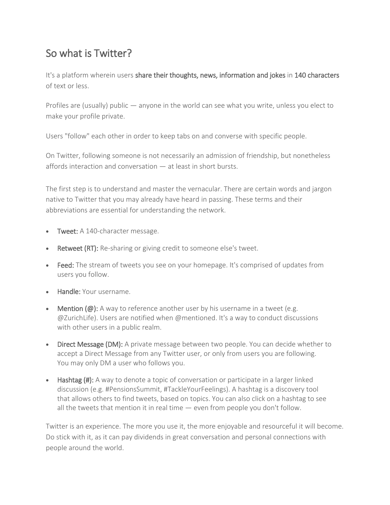# So what is Twitter?

It's a platform wherein users share their thoughts, news, information and jokes in 140 characters of text or less.

Profiles are (usually) public — anyone in the world can see what you write, unless you elect to make your profile private.

Users "follow" each other in order to keep tabs on and converse with specific people.

On Twitter, following someone is not necessarily an admission of friendship, but nonetheless affords interaction and conversation — at least in short bursts.

The first step is to understand and master the vernacular. There are certain words and jargon native to Twitter that you may already have heard in passing. These terms and their abbreviations are essential for understanding the network.

- Tweet: A 140-character message.
- Retweet (RT): Re-sharing or giving credit to someone else's tweet.
- Feed: The stream of tweets you see on your homepage. It's comprised of updates from users you follow.
- Handle: Your username.
- Mention  $(\omega)$ : A way to reference another user by his username in a tweet (e.g. @ZurichLife). Users are notified when @mentioned. It's a way to conduct discussions with other users in a public realm.
- Direct Message (DM): A private message between two people. You can decide whether to accept a Direct Message from any Twitter user, or only from users you are following. You may only DM a user who follows you.
- Hashtag (#): A way to denote a topic of conversation or participate in a larger linked discussion (e.g. #PensionsSummit, #TackleYourFeelings). A hashtag is a discovery tool that allows others to find tweets, based on topics. You can also click on a hashtag to see all the tweets that mention it in real time — even from people you don't follow.

Twitter is an experience. The more you use it, the more enjoyable and resourceful it will become. Do stick with it, as it can pay dividends in great conversation and personal connections with people around the world.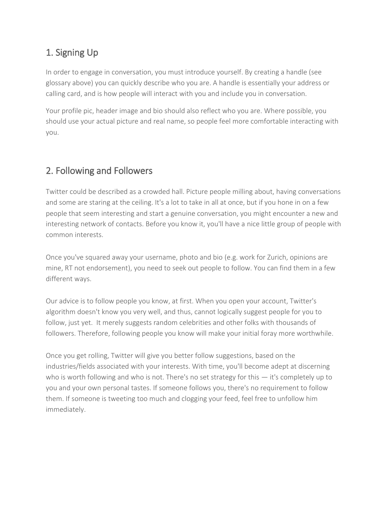### 1. Signing Up

In order to engage in conversation, you must introduce yourself. By creating a handle (see glossary above) you can quickly describe who you are. A handle is essentially your address or calling card, and is how people will interact with you and include you in conversation.

Your profile pic, header image and bio should also reflect who you are. Where possible, you should use your actual picture and real name, so people feel more comfortable interacting with you.

## 2. Following and Followers

Twitter could be described as a crowded hall. Picture people milling about, having conversations and some are staring at the ceiling. It's a lot to take in all at once, but if you hone in on a few people that seem interesting and start a genuine conversation, you might encounter a new and interesting network of contacts. Before you know it, you'll have a nice little group of people with common interests.

Once you've squared away your username, photo and bio (e.g. work for Zurich, opinions are mine, RT not endorsement), you need to seek out people to follow. You can find them in a few different ways.

Our advice is to follow people you know, at first. When you open your account, Twitter's algorithm doesn't know you very well, and thus, cannot logically suggest people for you to follow, just yet. It merely suggests random celebrities and other folks with thousands of followers. Therefore, following people you know will make your initial foray more worthwhile.

Once you get rolling, Twitter will give you better follow suggestions, based on the industries/fields associated with your interests. With time, you'll become adept at discerning who is worth following and who is not. There's no set strategy for this — it's completely up to you and your own personal tastes. If someone follows you, there's no requirement to follow them. If someone is tweeting too much and clogging your feed, feel free to unfollow him immediately.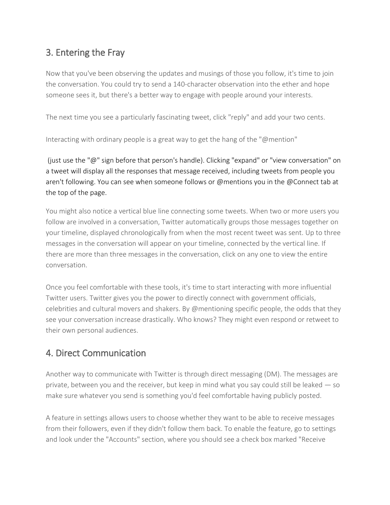### 3. Entering the Fray

Now that you've been observing the updates and musings of those you follow, it's time to join the conversation. You could try to send a 140-character observation into the ether and hope someone sees it, but there's a better way to engage with people around your interests.

The next time you see a particularly fascinating tweet, click "reply" and add your two cents.

Interacting with ordinary people is a great way to get the hang of the "@mention"

(just use the "@" sign before that person's handle). Clicking "expand" or "view conversation" on a tweet will display all the responses that message received, including tweets from people you aren't following. You can see when someone follows or @mentions you in the @Connect tab at the top of the page.

You might also notice a vertical blue line connecting some tweets. When two or more users you follow are involved in a conversation, Twitter automatically groups those messages together on your timeline, displayed chronologically from when the most recent tweet was sent. Up to three messages in the conversation will appear on your timeline, connected by the vertical line. If there are more than three messages in the conversation, click on any one to view the entire conversation.

Once you feel comfortable with these tools, it's time to start interacting with more influential Twitter users. Twitter gives you the power to directly connect with government officials, celebrities and cultural movers and shakers. By @mentioning specific people, the odds that they see your conversation increase drastically. Who knows? They might even respond or retweet to their own personal audiences.

#### 4. Direct Communication

Another way to communicate with Twitter is through direct messaging (DM). The messages are private, between you and the receiver, but keep in mind what you say could still be leaked  $-$  so make sure whatever you send is something you'd feel comfortable having publicly posted.

A feature in settings allows users to choose whether they want to be able to receive messages from their followers, even if they didn't follow them back. To enable the feature, go to settings and look under the "Accounts" section, where you should see a check box marked "Receive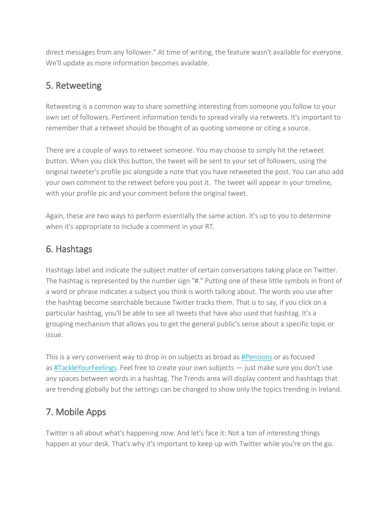direct messages from any follower." At time of writing, the feature wasn't available for everyone. We'll update as more information becomes available.

#### 5. Retweeting

Retweeting is a common way to share something interesting from someone you follow to your own set of followers. Pertinent information tends to spread virally via retweets. It's important to remember that a retweet should be thought of as quoting someone or citing a source.

There are a couple of ways to retweet someone. You may choose to simply hit the retweet button. When you click this button, the tweet will be sent to your set of followers, using the original tweeter's profile pic alongside a note that you have retweeted the post. You can also add your own comment to the retweet before you post it. The tweet will appear in your timeline, with your profile pic and your comment before the original tweet.

Again, these are two ways to perform essentially the same action. It's up to you to determine when it's appropriate to include a comment in your RT.

#### 6. Hashtags

Hashtags label and indicate the subject matter of certain conversations taking place on Twitter. The hashtag is represented by the number sign "#." Putting one of these little symbols in front of a word or phrase indicates a subject you think is worth talking about. The words you use after the hashtag become searchable because Twitter tracks them. That is to say, if you click on a particular hashtag, you'll be able to see all tweets that have also used that hashtag. It's a grouping mechanism that allows you to get the general public's sense about a specific topic or issue.

This is a very convenient way to drop in on subjects as broad as [#Pensions](https://twitter.com/#!/search/organicfood) or as focused as [#TackleYourFeelings.](https://twitter.com/#!/search/behindthelaunch) Feel free to create your own subjects — just make sure you don't use any spaces between words in a hashtag. The Trends area will display content and hashtags that are trending globally but the settings can be changed to show only the topics trending in Ireland.

#### 7. Mobile Apps

Twitter is all about what's happening *now*. And let's face it: Not a ton of interesting things happen at your desk. That's why it's important to keep up with Twitter while you're on the go.